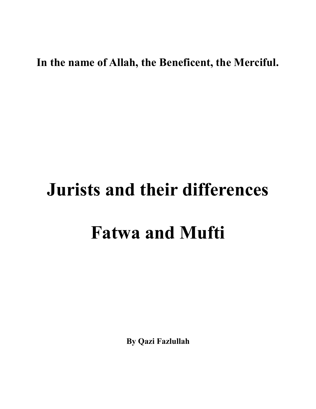## **In the name of Allah, the Beneficent, the Merciful.**

## **Jurists and their differences Fatwa and Mufti**

**By Qazi Fazlullah**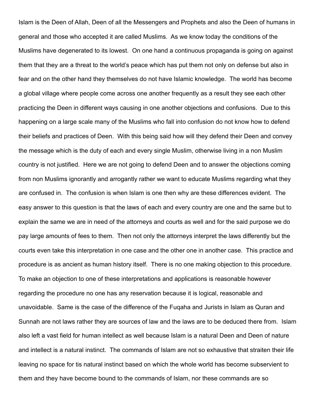Islam is the Deen of Allah, Deen of all the Messengers and Prophets and also the Deen of humans in general and those who accepted it are called Muslims. As we know today the conditions of the Muslims have degenerated to its lowest. On one hand a continuous propaganda is going on against them that they are a threat to the world's peace which has put them not only on defense but also in fear and on the other hand they themselves do not have Islamic knowledge. The world has become a global village where people come across one another frequently as a result they see each other practicing the Deen in different ways causing in one another objections and confusions. Due to this happening on a large scale many of the Muslims who fall into confusion do not know how to defend their beliefs and practices of Deen. With this being said how will they defend their Deen and convey the message which is the duty of each and every single Muslim, otherwise living in a non Muslim country is not justified. Here we are not going to defend Deen and to answer the objections coming from non Muslims ignorantly and arrogantly rather we want to educate Muslims regarding what they are confused in. The confusion is when Islam is one then why are these differences evident. The easy answer to this question is that the laws of each and every country are one and the same but to explain the same we are in need of the attorneys and courts as well and for the said purpose we do pay large amounts of fees to them. Then not only the attorneys interpret the laws differently but the courts even take this interpretation in one case and the other one in another case. This practice and procedure is as ancient as human history itself. There is no one making objection to this procedure. To make an objection to one of these interpretations and applications is reasonable however regarding the procedure no one has any reservation because it is logical, reasonable and unavoidable. Same is the case of the difference of the Fuqaha and Jurists in Islam as Quran and Sunnah are not laws rather they are sources of law and the laws are to be deduced there from. Islam also left a vast field for human intellect as well because Islam is a natural Deen and Deen of nature and intellect is a natural instinct. The commands of Islam are not so exhaustive that straiten their life leaving no space for tis natural instinct based on which the whole world has become subservient to them and they have become bound to the commands of Islam, nor these commands are so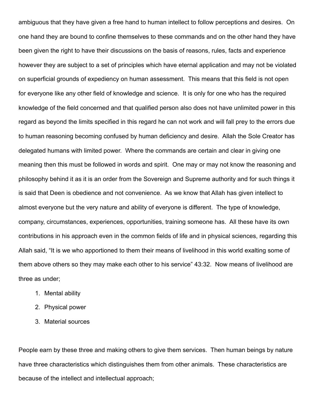ambiguous that they have given a free hand to human intellect to follow perceptions and desires. On one hand they are bound to confine themselves to these commands and on the other hand they have been given the right to have their discussions on the basis of reasons, rules, facts and experience however they are subject to a set of principles which have eternal application and may not be violated on superficial grounds of expediency on human assessment. This means that this field is not open for everyone like any other field of knowledge and science. It is only for one who has the required knowledge of the field concerned and that qualified person also does not have unlimited power in this regard as beyond the limits specified in this regard he can not work and will fall prey to the errors due to human reasoning becoming confused by human deficiency and desire. Allah the Sole Creator has delegated humans with limited power. Where the commands are certain and clear in giving one meaning then this must be followed in words and spirit. One may or may not know the reasoning and philosophy behind it as it is an order from the Sovereign and Supreme authority and for such things it is said that Deen is obedience and not convenience. As we know that Allah has given intellect to almost everyone but the very nature and ability of everyone is different. The type of knowledge, company, circumstances, experiences, opportunities, training someone has. All these have its own contributions in his approach even in the common fields of life and in physical sciences, regarding this Allah said, "It is we who apportioned to them their means of livelihood in this world exalting some of them above others so they may make each other to his service" 43:32. Now means of livelihood are three as under;

- 1. Mental ability
- 2. Physical power
- 3. Material sources

People earn by these three and making others to give them services. Then human beings by nature have three characteristics which distinguishes them from other animals. These characteristics are because of the intellect and intellectual approach;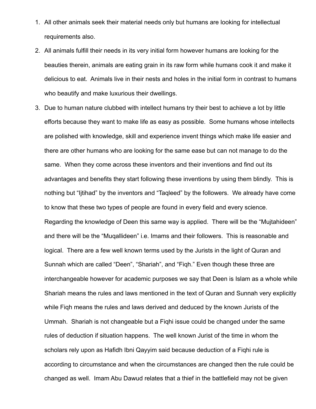- 1. All other animals seek their material needs only but humans are looking for intellectual requirements also.
- 2. All animals fulfill their needs in its very initial form however humans are looking for the beauties therein, animals are eating grain in its raw form while humans cook it and make it delicious to eat. Animals live in their nests and holes in the initial form in contrast to humans who beautify and make luxurious their dwellings.
- 3. Due to human nature clubbed with intellect humans try their best to achieve a lot by little efforts because they want to make life as easy as possible. Some humans whose intellects are polished with knowledge, skill and experience invent things which make life easier and there are other humans who are looking for the same ease but can not manage to do the same. When they come across these inventors and their inventions and find out its advantages and benefits they start following these inventions by using them blindly. This is nothing but "Ijtihad" by the inventors and "Taqleed" by the followers. We already have come to know that these two types of people are found in every field and every science. Regarding the knowledge of Deen this same way is applied. There will be the "Mujtahideen" and there will be the "Muqallideen" i.e. Imams and their followers. This is reasonable and logical. There are a few well known terms used by the Jurists in the light of Quran and Sunnah which are called "Deen", "Shariah", and "Fiqh." Even though these three are interchangeable however for academic purposes we say that Deen is Islam as a whole while Shariah means the rules and laws mentioned in the text of Quran and Sunnah very explicitly while Fiqh means the rules and laws derived and deduced by the known Jurists of the Ummah. Shariah is not changeable but a Fiqhi issue could be changed under the same rules of deduction if situation happens. The well known Jurist of the time in whom the scholars rely upon as Hafidh Ibni Qayyim said because deduction of a Fiqhi rule is according to circumstance and when the circumstances are changed then the rule could be changed as well. Imam Abu Dawud relates that a thief in the battlefield may not be given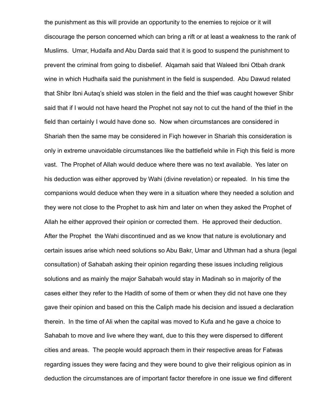the punishment as this will provide an opportunity to the enemies to rejoice or it will discourage the person concerned which can bring a rift or at least a weakness to the rank of Muslims. Umar, Hudaifa and Abu Darda said that it is good to suspend the punishment to prevent the criminal from going to disbelief. Alqamah said that Waleed Ibni Otbah drank wine in which Hudhaifa said the punishment in the field is suspended. Abu Dawud related that Shibr Ibni Autaq's shield was stolen in the field and the thief was caught however Shibr said that if I would not have heard the Prophet not say not to cut the hand of the thief in the field than certainly I would have done so. Now when circumstances are considered in Shariah then the same may be considered in Fiqh however in Shariah this consideration is only in extreme unavoidable circumstances like the battlefield while in Fiqh this field is more vast. The Prophet of Allah would deduce where there was no text available. Yes later on his deduction was either approved by Wahi (divine revelation) or repealed. In his time the companions would deduce when they were in a situation where they needed a solution and they were not close to the Prophet to ask him and later on when they asked the Prophet of Allah he either approved their opinion or corrected them. He approved their deduction. After the Prophet the Wahi discontinued and as we know that nature is evolutionary and certain issues arise which need solutions so Abu Bakr, Umar and Uthman had a shura (legal consultation) of Sahabah asking their opinion regarding these issues including religious solutions and as mainly the major Sahabah would stay in Madinah so in majority of the cases either they refer to the Hadith of some of them or when they did not have one they gave their opinion and based on this the Caliph made his decision and issued a declaration therein. In the time of Ali when the capital was moved to Kufa and he gave a choice to Sahabah to move and live where they want, due to this they were dispersed to different cities and areas. The people would approach them in their respective areas for Fatwas regarding issues they were facing and they were bound to give their religious opinion as in deduction the circumstances are of important factor therefore in one issue we find different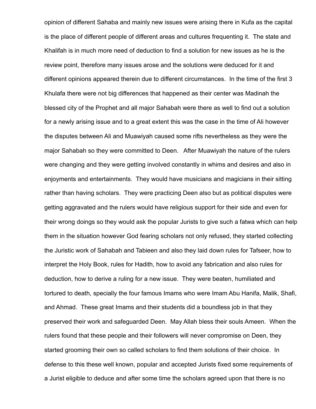opinion of different Sahaba and mainly new issues were arising there in Kufa as the capital is the place of different people of different areas and cultures frequenting it. The state and Khalifah is in much more need of deduction to find a solution for new issues as he is the review point, therefore many issues arose and the solutions were deduced for it and different opinions appeared therein due to different circumstances. In the time of the first 3 Khulafa there were not big differences that happened as their center was Madinah the blessed city of the Prophet and all major Sahabah were there as well to find out a solution for a newly arising issue and to a great extent this was the case in the time of Ali however the disputes between Ali and Muawiyah caused some rifts nevertheless as they were the major Sahabah so they were committed to Deen. After Muawiyah the nature of the rulers were changing and they were getting involved constantly in whims and desires and also in enjoyments and entertainments. They would have musicians and magicians in their sitting rather than having scholars. They were practicing Deen also but as political disputes were getting aggravated and the rulers would have religious support for their side and even for their wrong doings so they would ask the popular Jurists to give such a fatwa which can help them in the situation however God fearing scholars not only refused, they started collecting the Juristic work of Sahabah and Tabieen and also they laid down rules for Tafseer, how to interpret the Holy Book, rules for Hadith, how to avoid any fabrication and also rules for deduction, how to derive a ruling for a new issue. They were beaten, humiliated and tortured to death, specially the four famous Imams who were Imam Abu Hanifa, Malik, Shafi, and Ahmad. These great Imams and their students did a boundless job in that they preserved their work and safeguarded Deen. May Allah bless their souls Ameen. When the rulers found that these people and their followers will never compromise on Deen, they started grooming their own so called scholars to find them solutions of their choice. In defense to this these well known, popular and accepted Jurists fixed some requirements of a Jurist eligible to deduce and after some time the scholars agreed upon that there is no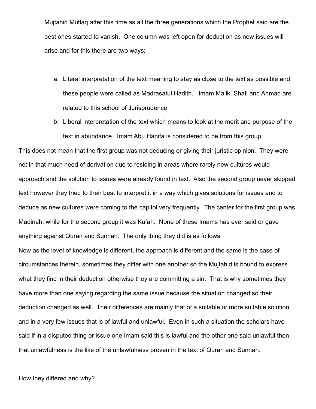Mujtahid Mutlaq after this time as all the three generations which the Prophet said are the best ones started to vanish. One column was left open for deduction as new issues will arise and for this there are two ways;

- a. Literal interpretation of the text meaning to stay as close to the text as possible and these people were called as Madrasatul Hadith. Imam Malik, Shafi and Ahmad are related to this school of Jurisprudence
- b. Liberal interpretation of the text which means to look at the merit and purpose of the text in abundance. Imam Abu Hanifa is considered to be from this group.

This does not mean that the first group was not deducing or giving their juristic opinion. They were not in that much need of derivation due to residing in areas where rarely new cultures would approach and the solution to issues were already found in text. Also the second group never skipped text however they tried to their best to interpret it in a way which gives solutions for issues and to deduce as new cultures were coming to the capitol very frequently. The center for the first group was Madinah, while for the second group it was Kufah. None of these Imams has ever said or gave anything against Quran and Sunnah. The only thing they did is as follows;

Now as the level of knowledge is different, the approach is different and the same is the case of circumstances therein, sometimes they differ with one another so the Mujtahid is bound to express what they find in their deduction otherwise they are committing a sin. That is why sometimes they have more than one saying regarding the same issue because the situation changed so their deduction changed as well. Their differences are mainly that of a suitable or more suitable solution and in a very few issues that is of lawful and unlawful. Even in such a situation the scholars have said if in a disputed thing or issue one Imam said this is lawful and the other one said unlawful then that unlawfulness is the like of the unlawfulness proven in the text of Quran and Sunnah.

How they differed and why?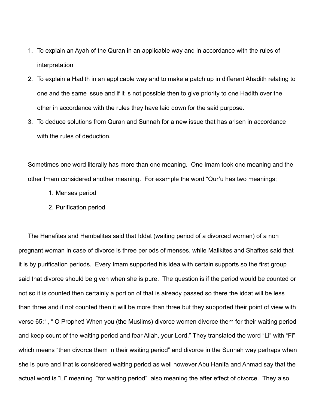- 1. To explain an Ayah of the Quran in an applicable way and in accordance with the rules of interpretation
- 2. To explain a Hadith in an applicable way and to make a patch up in different Ahadith relating to one and the same issue and if it is not possible then to give priority to one Hadith over the other in accordance with the rules they have laid down for the said purpose.
- 3. To deduce solutions from Quran and Sunnah for a new issue that has arisen in accordance with the rules of deduction.

Sometimes one word literally has more than one meaning. One Imam took one meaning and the other Imam considered another meaning. For example the word "Qur'u has two meanings;

- 1. Menses period
- 2. Purification period

The Hanafites and Hambalites said that Iddat (waiting period of a divorced woman) of a non pregnant woman in case of divorce is three periods of menses, while Malikites and Shafites said that it is by purification periods. Every Imam supported his idea with certain supports so the first group said that divorce should be given when she is pure. The question is if the period would be counted or not so it is counted then certainly a portion of that is already passed so there the iddat will be less than three and if not counted then it will be more than three but they supported their point of view with verse 65:1, " O Prophet! When you (the Muslims) divorce women divorce them for their waiting period and keep count of the waiting period and fear Allah, your Lord." They translated the word "Li" with "Fi" which means "then divorce them in their waiting period" and divorce in the Sunnah way perhaps when she is pure and that is considered waiting period as well however Abu Hanifa and Ahmad say that the actual word is "Li" meaning "for waiting period" also meaning the after effect of divorce. They also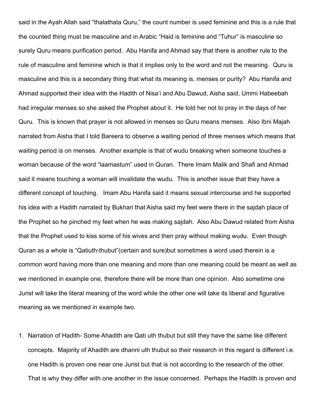said in the Ayah Allah said "thalathata Quru," the count number is used feminine and this is a rule that the counted thing must be masculine and in Arabic "Haid is feminine and "Tuhur" is masculine so surely Quru means purification period. Abu Hanifa and Ahmad say that there is another rule to the rule of masculine and feminine which is that it implies only to the word and not the meaning. Quru is masculine and this is a secondary thing that what its meaning is, menses or purity? Abu Hanifa and Ahmad supported their idea with the Hadith of Nisa'i and Abu Dawud, Aisha said, Ummi Habeebah had irregular menses so she asked the Prophet about it. He told her not to pray in the days of her Quru. This is known that prayer is not allowed in menses so Quru means menses. Also Ibni Majah narrated from Aisha that I told Bareera to observe a waiting period of three menses which means that waiting period is on menses. Another example is that of wudu breaking when someone touches a woman because of the word "laamastum" used in Quran. There Imam Malik and Shafi and Ahmad said it means touching a woman will invalidate the wudu. This is another issue that they have a different concept of touching. Imam Abu Hanifa said it means sexual intercourse and he supported his idea with a Hadith narrated by Bukhari that Aisha said my feet were there in the sajdah place of the Prophet so he pinched my feet when he was making sajdah. Also Abu Dawud related from Aisha that the Prophet used to kiss some of his wives and then pray without making wudu. Even though Quran as a whole is "Qatiuth-thubut"(certain and sure)but sometimes a word used therein is a common word having more than one meaning and more than one meaning could be meant as well as we mentioned in example one, therefore there will be more than one opinion. Also sometime one Jurist will take the literal meaning of the word while the other one will take its liberal and figurative meaning as we mentioned in example two.

1. Narration of Hadith- Some Ahadith are Qati uth thubut but still they have the same like different concepts. Majority of Ahadith are dhanni uth thubut so their research in this regard is different i.e. one Hadith is proven one near one Jurist but that is not according to the research of the other. That is why they differ with one another in the issue concerned. Perhaps the Hadith is proven and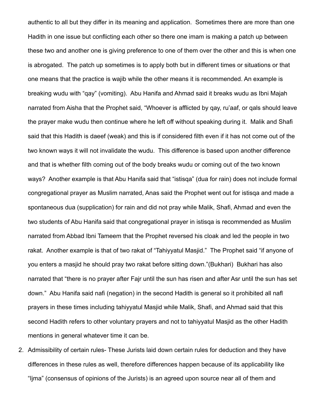authentic to all but they differ in its meaning and application. Sometimes there are more than one Hadith in one issue but conflicting each other so there one imam is making a patch up between these two and another one is giving preference to one of them over the other and this is when one is abrogated. The patch up sometimes is to apply both but in different times or situations or that one means that the practice is wajib while the other means it is recommended. An example is breaking wudu with "qay" (vomiting). Abu Hanifa and Ahmad said it breaks wudu as Ibni Majah narrated from Aisha that the Prophet said, "Whoever is afflicted by qay, ru'aaf, or qals should leave the prayer make wudu then continue where he left off without speaking during it. Malik and Shafi said that this Hadith is daeef (weak) and this is if considered filth even if it has not come out of the two known ways it will not invalidate the wudu. This difference is based upon another difference and that is whether filth coming out of the body breaks wudu or coming out of the two known ways? Another example is that Abu Hanifa said that "istisqa" (dua for rain) does not include formal congregational prayer as Muslim narrated, Anas said the Prophet went out for istisqa and made a spontaneous dua (supplication) for rain and did not pray while Malik, Shafi, Ahmad and even the two students of Abu Hanifa said that congregational prayer in istisqa is recommended as Muslim narrated from Abbad Ibni Tameem that the Prophet reversed his cloak and led the people in two rakat. Another example is that of two rakat of "Tahiyyatul Masjid." The Prophet said "if anyone of you enters a masjid he should pray two rakat before sitting down."(Bukhari) Bukhari has also narrated that "there is no prayer after Fajr until the sun has risen and after Asr until the sun has set down." Abu Hanifa said nafi (negation) in the second Hadith is general so it prohibited all nafl prayers in these times including tahiyyatul Masjid while Malik, Shafi, and Ahmad said that this second Hadith refers to other voluntary prayers and not to tahiyyatul Masjid as the other Hadith mentions in general whatever time it can be.

2. Admissibility of certain rules- These Jurists laid down certain rules for deduction and they have differences in these rules as well, therefore differences happen because of its applicability like "Ijma" (consensus of opinions of the Jurists) is an agreed upon source near all of them and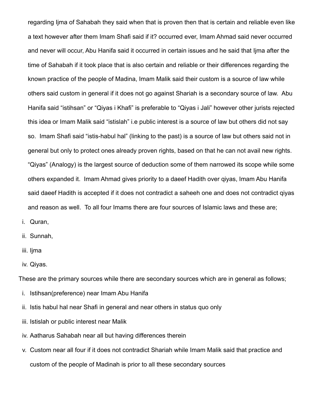regarding Ijma of Sahabah they said when that is proven then that is certain and reliable even like a text however after them Imam Shafi said if it? occurred ever, Imam Ahmad said never occurred and never will occur, Abu Hanifa said it occurred in certain issues and he said that Ijma after the time of Sahabah if it took place that is also certain and reliable or their differences regarding the known practice of the people of Madina, Imam Malik said their custom is a source of law while others said custom in general if it does not go against Shariah is a secondary source of law. Abu Hanifa said "istihsan" or "Qiyas i Khafi" is preferable to "Qiyas i Jali" however other jurists rejected this idea or Imam Malik said "istislah" i.e public interest is a source of law but others did not say so. Imam Shafi said "istis-habul hal" (linking to the past) is a source of law but others said not in general but only to protect ones already proven rights, based on that he can not avail new rights. "Qiyas" (Analogy) is the largest source of deduction some of them narrowed its scope while some others expanded it. Imam Ahmad gives priority to a daeef Hadith over qiyas, Imam Abu Hanifa said daeef Hadith is accepted if it does not contradict a saheeh one and does not contradict qiyas and reason as well. To all four Imams there are four sources of Islamic laws and these are;

- i. Quran,
- ii. Sunnah,
- iii. Iima
- iv. Qiyas.

These are the primary sources while there are secondary sources which are in general as follows;

- i. Istihsan(preference) near Imam Abu Hanifa
- ii. Istis habul hal near Shafi in general and near others in status quo only
- iii. Istislah or public interest near Malik
- iv. Aatharus Sahabah near all but having differences therein
- v. Custom near all four if it does not contradict Shariah while Imam Malik said that practice and custom of the people of Madinah is prior to all these secondary sources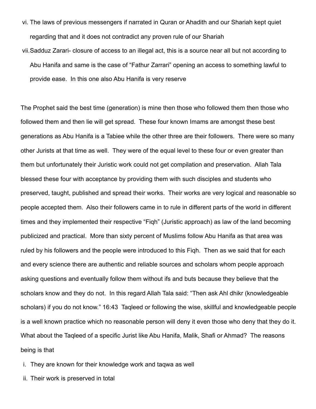- vi. The laws of previous messengers if narrated in Quran or Ahadith and our Shariah kept quiet regarding that and it does not contradict any proven rule of our Shariah
- vii.Sadduz Zarari- closure of access to an illegal act, this is a source near all but not according to Abu Hanifa and same is the case of "Fathur Zarrari" opening an access to something lawful to provide ease. In this one also Abu Hanifa is very reserve

The Prophet said the best time (generation) is mine then those who followed them then those who followed them and then lie will get spread. These four known Imams are amongst these best generations as Abu Hanifa is a Tabiee while the other three are their followers. There were so many other Jurists at that time as well. They were of the equal level to these four or even greater than them but unfortunately their Juristic work could not get compilation and preservation. Allah Tala blessed these four with acceptance by providing them with such disciples and students who preserved, taught, published and spread their works. Their works are very logical and reasonable so people accepted them. Also their followers came in to rule in different parts of the world in different times and they implemented their respective "Fiqh" (Juristic approach) as law of the land becoming publicized and practical. More than sixty percent of Muslims follow Abu Hanifa as that area was ruled by his followers and the people were introduced to this Fiqh. Then as we said that for each and every science there are authentic and reliable sources and scholars whom people approach asking questions and eventually follow them without ifs and buts because they believe that the scholars know and they do not. In this regard Allah Tala said: "Then ask Ahl dhikr (knowledgeable scholars) if you do not know." 16:43 Taqleed or following the wise, skillful and knowledgeable people is a well known practice which no reasonable person will deny it even those who deny that they do it. What about the Taqleed of a specific Jurist like Abu Hanifa, Malik, Shafi or Ahmad? The reasons being is that

- i. They are known for their knowledge work and taqwa as well
- ii. Their work is preserved in total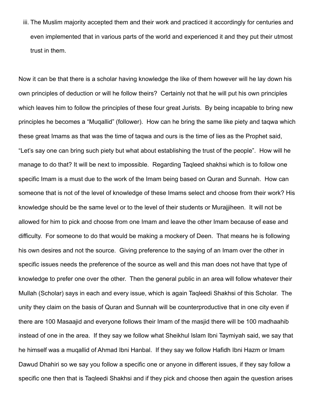iii. The Muslim majority accepted them and their work and practiced it accordingly for centuries and even implemented that in various parts of the world and experienced it and they put their utmost trust in them.

Now it can be that there is a scholar having knowledge the like of them however will he lay down his own principles of deduction or will he follow theirs? Certainly not that he will put his own principles which leaves him to follow the principles of these four great Jurists. By being incapable to bring new principles he becomes a "Muqallid" (follower). How can he bring the same like piety and taqwa which these great Imams as that was the time of taqwa and ours is the time of lies as the Prophet said, "Let's say one can bring such piety but what about establishing the trust of the people". How will he manage to do that? It will be next to impossible. Regarding Taqleed shakhsi which is to follow one specific Imam is a must due to the work of the Imam being based on Quran and Sunnah. How can someone that is not of the level of knowledge of these Imams select and choose from their work? His knowledge should be the same level or to the level of their students or Murajjiheen. It will not be allowed for him to pick and choose from one Imam and leave the other Imam because of ease and difficulty. For someone to do that would be making a mockery of Deen. That means he is following his own desires and not the source. Giving preference to the saying of an Imam over the other in specific issues needs the preference of the source as well and this man does not have that type of knowledge to prefer one over the other. Then the general public in an area will follow whatever their Mullah (Scholar) says in each and every issue, which is again Taqleedi Shakhsi of this Scholar. The unity they claim on the basis of Quran and Sunnah will be counterproductive that in one city even if there are 100 Masaajid and everyone follows their Imam of the masjid there will be 100 madhaahib instead of one in the area. If they say we follow what Sheikhul Islam Ibni Taymiyah said, we say that he himself was a muqallid of Ahmad Ibni Hanbal. If they say we follow Hafidh Ibni Hazm or Imam Dawud Dhahiri so we say you follow a specific one or anyone in different issues, if they say follow a specific one then that is Taqleedi Shakhsi and if they pick and choose then again the question arises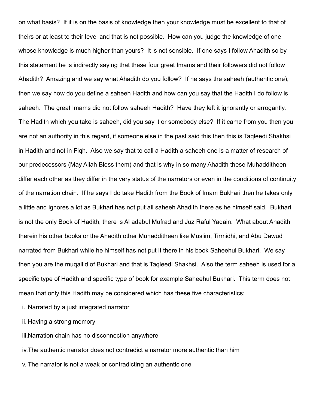on what basis? If it is on the basis of knowledge then your knowledge must be excellent to that of theirs or at least to their level and that is not possible. How can you judge the knowledge of one whose knowledge is much higher than yours? It is not sensible. If one says I follow Ahadith so by this statement he is indirectly saying that these four great Imams and their followers did not follow Ahadith? Amazing and we say what Ahadith do you follow? If he says the saheeh (authentic one), then we say how do you define a saheeh Hadith and how can you say that the Hadith I do follow is saheeh. The great Imams did not follow saheeh Hadith? Have they left it ignorantly or arrogantly. The Hadith which you take is saheeh, did you say it or somebody else? If it came from you then you are not an authority in this regard, if someone else in the past said this then this is Taqleedi Shakhsi in Hadith and not in Fiqh. Also we say that to call a Hadith a saheeh one is a matter of research of our predecessors (May Allah Bless them) and that is why in so many Ahadith these Muhadditheen differ each other as they differ in the very status of the narrators or even in the conditions of continuity of the narration chain. If he says I do take Hadith from the Book of Imam Bukhari then he takes only a little and ignores a lot as Bukhari has not put all saheeh Ahadith there as he himself said. Bukhari is not the only Book of Hadith, there is Al adabul Mufrad and Juz Raful Yadain. What about Ahadith therein his other books or the Ahadith other Muhadditheen like Muslim, Tirmidhi, and Abu Dawud narrated from Bukhari while he himself has not put it there in his book Saheehul Bukhari. We say then you are the muqallid of Bukhari and that is Taqleedi Shakhsi. Also the term saheeh is used for a specific type of Hadith and specific type of book for example Saheehul Bukhari. This term does not mean that only this Hadith may be considered which has these five characteristics;

- i. Narrated by a just integrated narrator
- ii. Having a strong memory
- iii.Narration chain has no disconnection anywhere
- iv.The authentic narrator does not contradict a narrator more authentic than him
- v. The narrator is not a weak or contradicting an authentic one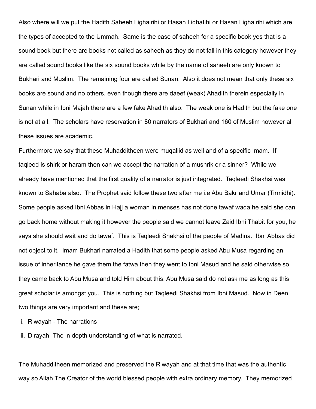Also where will we put the Hadith Saheeh Lighairihi or Hasan Lidhatihi or Hasan Lighairihi which are the types of accepted to the Ummah. Same is the case of saheeh for a specific book yes that is a sound book but there are books not called as saheeh as they do not fall in this category however they are called sound books like the six sound books while by the name of saheeh are only known to Bukhari and Muslim. The remaining four are called Sunan. Also it does not mean that only these six books are sound and no others, even though there are daeef (weak) Ahadith therein especially in Sunan while in Ibni Majah there are a few fake Ahadith also. The weak one is Hadith but the fake one is not at all. The scholars have reservation in 80 narrators of Bukhari and 160 of Muslim however all these issues are academic.

Furthermore we say that these Muhadditheen were muqallid as well and of a specific Imam. If taqleed is shirk or haram then can we accept the narration of a mushrik or a sinner? While we already have mentioned that the first quality of a narrator is just integrated. Taqleedi Shakhsi was known to Sahaba also. The Prophet said follow these two after me i.e Abu Bakr and Umar (Tirmidhi). Some people asked Ibni Abbas in Hajj a woman in menses has not done tawaf wada he said she can go back home without making it however the people said we cannot leave Zaid Ibni Thabit for you, he says she should wait and do tawaf. This is Taqleedi Shakhsi of the people of Madina. Ibni Abbas did not object to it. Imam Bukhari narrated a Hadith that some people asked Abu Musa regarding an issue of inheritance he gave them the fatwa then they went to Ibni Masud and he said otherwise so they came back to Abu Musa and told Him about this. Abu Musa said do not ask me as long as this great scholar is amongst you. This is nothing but Taqleedi Shakhsi from Ibni Masud. Now in Deen two things are very important and these are;

i. Riwayah - The narrations

ii. Dirayah- The in depth understanding of what is narrated.

The Muhadditheen memorized and preserved the Riwayah and at that time that was the authentic way so Allah The Creator of the world blessed people with extra ordinary memory. They memorized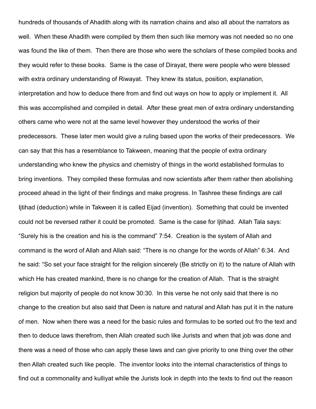hundreds of thousands of Ahadith along with its narration chains and also all about the narrators as well. When these Ahadith were compiled by them then such like memory was not needed so no one was found the like of them. Then there are those who were the scholars of these compiled books and they would refer to these books. Same is the case of Dirayat, there were people who were blessed with extra ordinary understanding of Riwayat. They knew its status, position, explanation, interpretation and how to deduce there from and find out ways on how to apply or implement it. All this was accomplished and compiled in detail. After these great men of extra ordinary understanding others came who were not at the same level however they understood the works of their predecessors. These later men would give a ruling based upon the works of their predecessors. We can say that this has a resemblance to Takween, meaning that the people of extra ordinary understanding who knew the physics and chemistry of things in the world established formulas to bring inventions. They compiled these formulas and now scientists after them rather then abolishing proceed ahead in the light of their findings and make progress. In Tashree these findings are call Ijtihad (deduction) while in Takween it is called Eijad (invention). Something that could be invented could not be reversed rather it could be promoted. Same is the case for Ijtihad. Allah Tala says: "Surely his is the creation and his is the command" 7:54. Creation is the system of Allah and command is the word of Allah and Allah said: "There is no change for the words of Allah" 6:34. And he said: "So set your face straight for the religion sincerely (Be strictly on it) to the nature of Allah with which He has created mankind, there is no change for the creation of Allah. That is the straight religion but majority of people do not know 30:30. In this verse he not only said that there is no change to the creation but also said that Deen is nature and natural and Allah has put it in the nature of men. Now when there was a need for the basic rules and formulas to be sorted out fro the text and then to deduce laws therefrom, then Allah created such like Jurists and when that job was done and there was a need of those who can apply these laws and can give priority to one thing over the other then Allah created such like people. The inventor looks into the internal characteristics of things to find out a commonality and kulliyat while the Jurists look in depth into the texts to find out the reason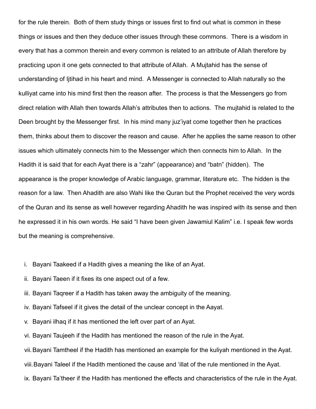for the rule therein. Both of them study things or issues first to find out what is common in these things or issues and then they deduce other issues through these commons. There is a wisdom in every that has a common therein and every common is related to an attribute of Allah therefore by practicing upon it one gets connected to that attribute of Allah. A Mujtahid has the sense of understanding of Ijtihad in his heart and mind. A Messenger is connected to Allah naturally so the kulliyat came into his mind first then the reason after. The process is that the Messengers go from direct relation with Allah then towards Allah's attributes then to actions. The mujtahid is related to the Deen brought by the Messenger first. In his mind many juz'iyat come together then he practices them, thinks about them to discover the reason and cause. After he applies the same reason to other issues which ultimately connects him to the Messenger which then connects him to Allah. In the Hadith it is said that for each Ayat there is a "zahr" (appearance) and "batn" (hidden). The appearance is the proper knowledge of Arabic language, grammar, literature etc. The hidden is the reason for a law. Then Ahadith are also Wahi like the Quran but the Prophet received the very words of the Quran and its sense as well however regarding Ahadith he was inspired with its sense and then he expressed it in his own words. He said "I have been given Jawamiul Kalim" i.e. I speak few words but the meaning is comprehensive.

- i. Bayani Taakeed if a Hadith gives a meaning the like of an Ayat.
- ii. Bayani Taeen if it fixes its one aspect out of a few.
- iii. Bayani Taqreer if a Hadith has taken away the ambiguity of the meaning.
- iv. Bayani Tafseel if it gives the detail of the unclear concept in the Aayat.
- v. Bayani ilhaq if it has mentioned the left over part of an Ayat.
- vi. Bayani Taujeeh if the Hadith has mentioned the reason of the rule in the Ayat.

vii.Bayani Tamtheel if the Hadith has mentioned an example for the kuliyah mentioned in the Ayat.

viii.Bayani Taleel if the Hadith mentioned the cause and 'illat of the rule mentioned in the Ayat.

ix. Bayani Ta'theer if the Hadith has mentioned the effects and characteristics of the rule in the Ayat.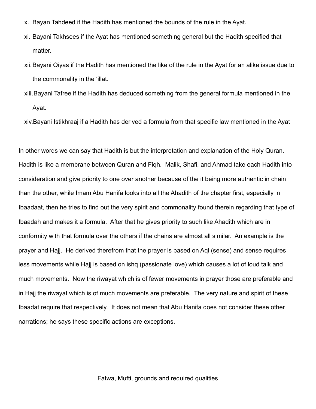- x. Bayan Tahdeed if the Hadith has mentioned the bounds of the rule in the Ayat.
- xi. Bayani Takhsees if the Ayat has mentioned something general but the Hadith specified that matter.
- xii.Bayani Qiyas if the Hadith has mentioned the like of the rule in the Ayat for an alike issue due to the commonality in the 'illat.
- xiii.Bayani Tafree if the Hadith has deduced something from the general formula mentioned in the Ayat.

xiv.Bayani Istikhraaj if a Hadith has derived a formula from that specific law mentioned in the Ayat

In other words we can say that Hadith is but the interpretation and explanation of the Holy Quran. Hadith is like a membrane between Quran and Fiqh. Malik, Shafi, and Ahmad take each Hadith into consideration and give priority to one over another because of the it being more authentic in chain than the other, while Imam Abu Hanifa looks into all the Ahadith of the chapter first, especially in Ibaadaat, then he tries to find out the very spirit and commonality found therein regarding that type of Ibaadah and makes it a formula. After that he gives priority to such like Ahadith which are in conformity with that formula over the others if the chains are almost all similar. An example is the prayer and Hajj. He derived therefrom that the prayer is based on Aql (sense) and sense requires less movements while Hajj is based on ishq (passionate love) which causes a lot of loud talk and much movements. Now the riwayat which is of fewer movements in prayer those are preferable and in Hajj the riwayat which is of much movements are preferable. The very nature and spirit of these Ibaadat require that respectively. It does not mean that Abu Hanifa does not consider these other narrations; he says these specific actions are exceptions.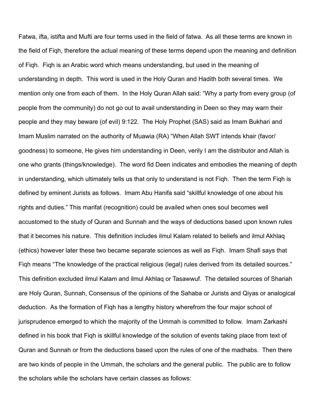Fatwa, ifta, istifta and Mufti are four terms used in the field of fatwa. As all these terms are known in the field of Fiqh, therefore the actual meaning of these terms depend upon the meaning and definition of Fiqh. Fiqh is an Arabic word which means understanding, but used in the meaning of understanding in depth. This word is used in the Holy Quran and Hadith both several times. We mention only one from each of them. In the Holy Quran Allah said: "Why a party from every group (of people from the community) do not go out to avail understanding in Deen so they may warn their people and they may beware (of evil) 9:122. The Holy Prophet (SAS) said as Imam Bukhari and Imam Muslim narrated on the authority of Muawia (RA) "When Allah SWT intends khair (favor/ goodness) to someone, He gives him understanding in Deen, verily I am the distributor and Allah is one who grants (things/knowledge). The word fid Deen indicates and embodies the meaning of depth in understanding, which ultimately tells us that only to understand is not Fiqh. Then the term Fiqh is defined by eminent Jurists as follows. Imam Abu Hanifa said "skillful knowledge of one about his rights and duties." This marifat (recognition) could be availed when ones soul becomes well accustomed to the study of Quran and Sunnah and the ways of deductions based upon known rules that it becomes his nature. This definition includes ilmul Kalam related to beliefs and ilmul Akhlaq (ethics) however later these two became separate sciences as well as Fiqh. Imam Shafi says that Fiqh means "The knowledge of the practical religious (legal) rules derived from its detailed sources." This definition excluded ilmul Kalam and ilmul Akhlaq or Tasawwuf. The detailed sources of Shariah are Holy Quran, Sunnah, Consensus of the opinions of the Sahaba or Jurists and Qiyas or analogical deduction. As the formation of Fiqh has a lengthy history wherefrom the four major school of jurisprudence emerged to which the majority of the Ummah is committed to follow. Imam Zarkashi defined in his book that Fiqh is skillful knowledge of the solution of events taking place from text of Quran and Sunnah or from the deductions based upon the rules of one of the madhabs. Then there are two kinds of people in the Ummah, the scholars and the general public. The public are to follow the scholars while the scholars have certain classes as follows: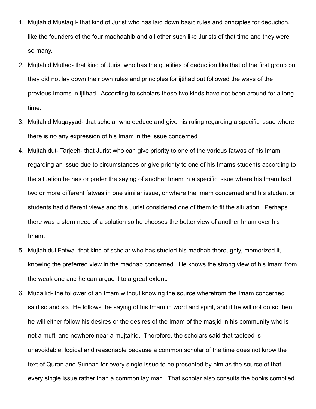- 1. Mujtahid Mustaqil- that kind of Jurist who has laid down basic rules and principles for deduction, like the founders of the four madhaahib and all other such like Jurists of that time and they were so many.
- 2. Mujtahid Mutlaq- that kind of Jurist who has the qualities of deduction like that of the first group but they did not lay down their own rules and principles for ijtihad but followed the ways of the previous Imams in ijtihad. According to scholars these two kinds have not been around for a long time.
- 3. Mujtahid Muqayyad- that scholar who deduce and give his ruling regarding a specific issue where there is no any expression of his Imam in the issue concerned
- 4. Mujtahidut- Tarjeeh- that Jurist who can give priority to one of the various fatwas of his Imam regarding an issue due to circumstances or give priority to one of his Imams students according to the situation he has or prefer the saying of another Imam in a specific issue where his Imam had two or more different fatwas in one similar issue, or where the Imam concerned and his student or students had different views and this Jurist considered one of them to fit the situation. Perhaps there was a stern need of a solution so he chooses the better view of another Imam over his Imam.
- 5. Mujtahidul Fatwa- that kind of scholar who has studied his madhab thoroughly, memorized it, knowing the preferred view in the madhab concerned. He knows the strong view of his Imam from the weak one and he can argue it to a great extent.
- 6. Muqallid- the follower of an Imam without knowing the source wherefrom the Imam concerned said so and so. He follows the saying of his Imam in word and spirit, and if he will not do so then he will either follow his desires or the desires of the Imam of the masjid in his community who is not a mufti and nowhere near a mujtahid. Therefore, the scholars said that taqleed is unavoidable, logical and reasonable because a common scholar of the time does not know the text of Quran and Sunnah for every single issue to be presented by him as the source of that every single issue rather than a common lay man. That scholar also consults the books compiled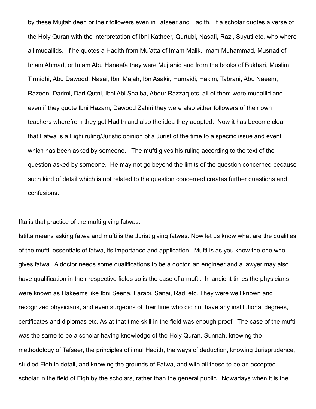by these Mujtahideen or their followers even in Tafseer and Hadith. If a scholar quotes a verse of the Holy Quran with the interpretation of Ibni Katheer, Qurtubi, Nasafi, Razi, Suyuti etc, who where all muqallids. If he quotes a Hadith from Mu'atta of Imam Malik, Imam Muhammad, Musnad of Imam Ahmad, or Imam Abu Haneefa they were Mujtahid and from the books of Bukhari, Muslim, Tirmidhi, Abu Dawood, Nasai, Ibni Majah, Ibn Asakir, Humaidi, Hakim, Tabrani, Abu Naeem, Razeen, Darimi, Dari Qutni, Ibni Abi Shaiba, Abdur Razzaq etc. all of them were muqallid and even if they quote Ibni Hazam, Dawood Zahiri they were also either followers of their own teachers wherefrom they got Hadith and also the idea they adopted. Now it has become clear that Fatwa is a Fiqhi ruling/Juristic opinion of a Jurist of the time to a specific issue and event which has been asked by someone. The mufti gives his ruling according to the text of the question asked by someone. He may not go beyond the limits of the question concerned because such kind of detail which is not related to the question concerned creates further questions and confusions.

Ifta is that practice of the mufti giving fatwas.

Istifta means asking fatwa and mufti is the Jurist giving fatwas. Now let us know what are the qualities of the mufti, essentials of fatwa, its importance and application. Mufti is as you know the one who gives fatwa. A doctor needs some qualifications to be a doctor, an engineer and a lawyer may also have qualification in their respective fields so is the case of a mufti. In ancient times the physicians were known as Hakeems like Ibni Seena, Farabi, Sanai, Radi etc. They were well known and recognized physicians, and even surgeons of their time who did not have any institutional degrees, certificates and diplomas etc. As at that time skill in the field was enough proof. The case of the mufti was the same to be a scholar having knowledge of the Holy Quran, Sunnah, knowing the methodology of Tafseer, the principles of ilmul Hadith, the ways of deduction, knowing Jurisprudence, studied Fiqh in detail, and knowing the grounds of Fatwa, and with all these to be an accepted scholar in the field of Fiqh by the scholars, rather than the general public. Nowadays when it is the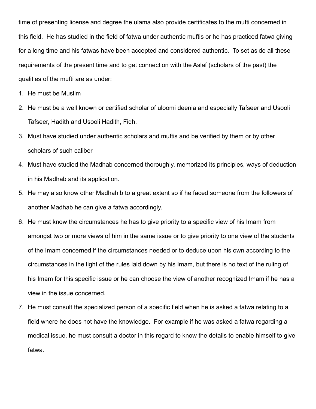time of presenting license and degree the ulama also provide certificates to the mufti concerned in this field. He has studied in the field of fatwa under authentic muftis or he has practiced fatwa giving for a long time and his fatwas have been accepted and considered authentic. To set aside all these requirements of the present time and to get connection with the Aslaf (scholars of the past) the qualities of the mufti are as under:

- 1. He must be Muslim
- 2. He must be a well known or certified scholar of uloomi deenia and especially Tafseer and Usooli Tafseer, Hadith and Usooli Hadith, Fiqh.
- 3. Must have studied under authentic scholars and muftis and be verified by them or by other scholars of such caliber
- 4. Must have studied the Madhab concerned thoroughly, memorized its principles, ways of deduction in his Madhab and its application.
- 5. He may also know other Madhahib to a great extent so if he faced someone from the followers of another Madhab he can give a fatwa accordingly.
- 6. He must know the circumstances he has to give priority to a specific view of his Imam from amongst two or more views of him in the same issue or to give priority to one view of the students of the Imam concerned if the circumstances needed or to deduce upon his own according to the circumstances in the light of the rules laid down by his Imam, but there is no text of the ruling of his Imam for this specific issue or he can choose the view of another recognized Imam if he has a view in the issue concerned.
- 7. He must consult the specialized person of a specific field when he is asked a fatwa relating to a field where he does not have the knowledge. For example if he was asked a fatwa regarding a medical issue, he must consult a doctor in this regard to know the details to enable himself to give fatwa.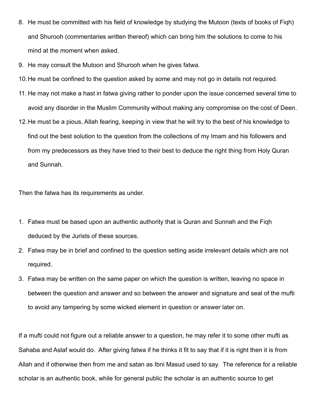- 8. He must be committed with his field of knowledge by studying the Mutoon (texts of books of Fiqh) and Shurooh (commentaries written thereof) which can bring him the solutions to come to his mind at the moment when asked.
- 9. He may consult the Mutoon and Shurooh when he gives fatwa.
- 10.He must be confined to the question asked by some and may not go in details not required.
- 11. He may not make a hast in fatwa giving rather to ponder upon the issue concerned several time to avoid any disorder in the Muslim Community without making any compromise on the cost of Deen.
- 12.He must be a pious, Allah fearing, keeping in view that he will try to the best of his knowledge to find out the best solution to the question from the collections of my Imam and his followers and from my predecessors as they have tried to their best to deduce the right thing from Holy Quran and Sunnah.

Then the fatwa has its requirements as under.

- 1. Fatwa must be based upon an authentic authority that is Quran and Sunnah and the Fiqh deduced by the Jurists of these sources.
- 2. Fatwa may be in brief and confined to the question setting aside irrelevant details which are not required.
- 3. Fatwa may be written on the same paper on which the question is written, leaving no space in between the question and answer and so between the answer and signature and seal of the mufti to avoid any tampering by some wicked element in question or answer later on.

If a mufti could not figure out a reliable answer to a question, he may refer it to some other mufti as Sahaba and Aslaf would do. After giving fatwa if he thinks it fit to say that if it is right then it is from Allah and if otherwise then from me and satan as Ibni Masud used to say. The reference for a reliable scholar is an authentic book, while for general public the scholar is an authentic source to get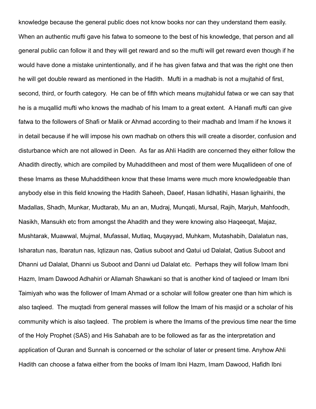knowledge because the general public does not know books nor can they understand them easily. When an authentic mufti gave his fatwa to someone to the best of his knowledge, that person and all general public can follow it and they will get reward and so the mufti will get reward even though if he would have done a mistake unintentionally, and if he has given fatwa and that was the right one then he will get double reward as mentioned in the Hadith. Mufti in a madhab is not a mujtahid of first, second, third, or fourth category. He can be of fifth which means mujtahidul fatwa or we can say that he is a muqallid mufti who knows the madhab of his Imam to a great extent. A Hanafi mufti can give fatwa to the followers of Shafi or Malik or Ahmad according to their madhab and Imam if he knows it in detail because if he will impose his own madhab on others this will create a disorder, confusion and disturbance which are not allowed in Deen. As far as Ahli Hadith are concerned they either follow the Ahadith directly, which are compiled by Muhadditheen and most of them were Muqallideen of one of these Imams as these Muhadditheen know that these Imams were much more knowledgeable than anybody else in this field knowing the Hadith Saheeh, Daeef, Hasan lidhatihi, Hasan lighairihi, the Madallas, Shadh, Munkar, Mudtarab, Mu an an, Mudraj, Munqati, Mursal, Rajih, Marjuh, Mahfoodh, Nasikh, Mansukh etc from amongst the Ahadith and they were knowing also Haqeeqat, Majaz, Mushtarak, Muawwal, Mujmal, Mufassal, Mutlaq, Muqayyad, Muhkam, Mutashabih, Dalalatun nas, Isharatun nas, Ibaratun nas, Iqtizaun nas, Qatius suboot and Qatui ud Dalalat, Qatius Suboot and Dhanni ud Dalalat, Dhanni us Suboot and Danni ud Dalalat etc. Perhaps they will follow Imam Ibni Hazm, Imam Dawood Adhahiri or Allamah Shawkani so that is another kind of taqleed or Imam Ibni Taimiyah who was the follower of Imam Ahmad or a scholar will follow greater one than him which is also taqleed. The muqtadi from general masses will follow the Imam of his masjid or a scholar of his community which is also taqleed. The problem is where the Imams of the previous time near the time of the Holy Prophet (SAS) and His Sahabah are to be followed as far as the interpretation and application of Quran and Sunnah is concerned or the scholar of later or present time. Anyhow Ahli Hadith can choose a fatwa either from the books of Imam Ibni Hazm, Imam Dawood, Hafidh Ibni